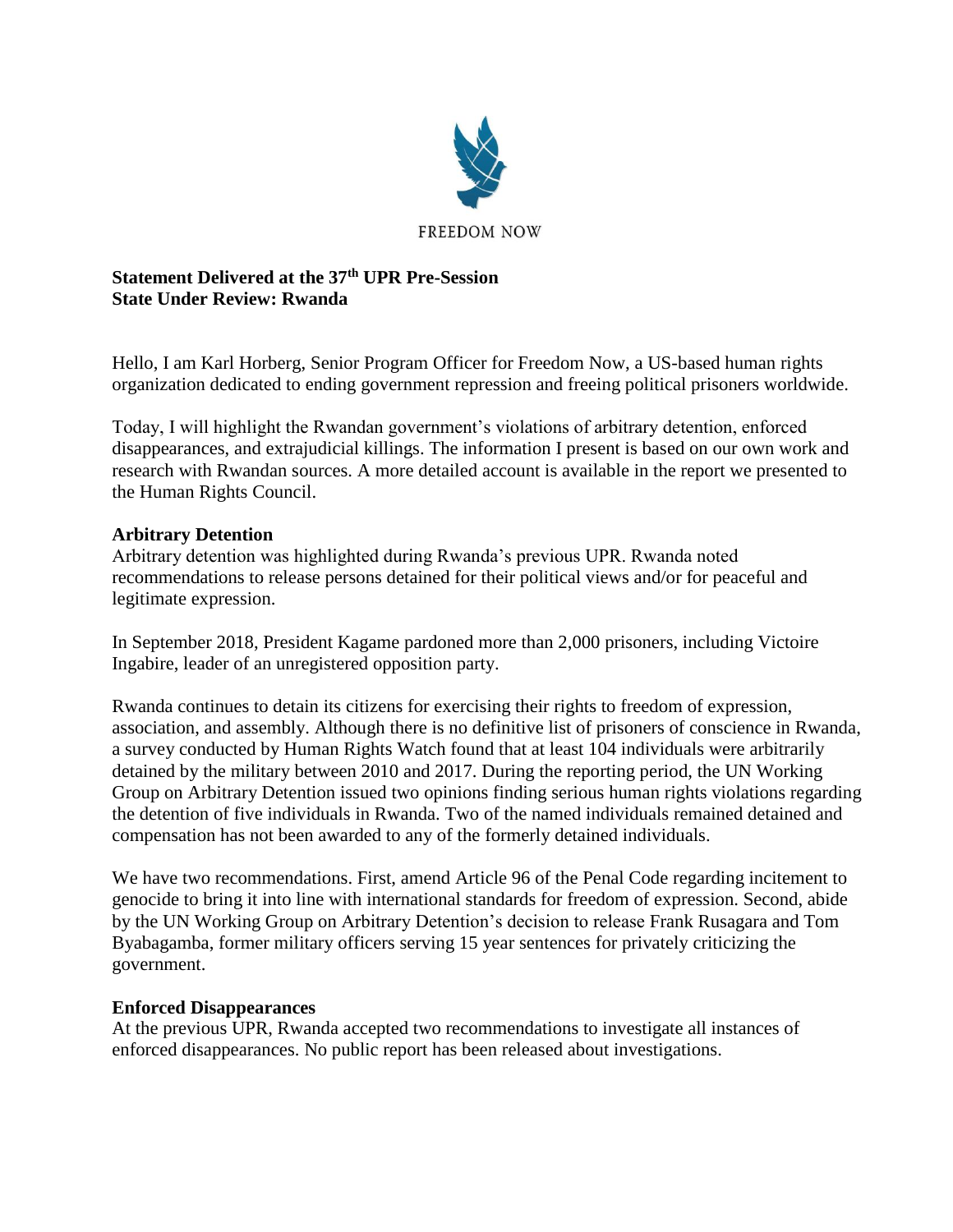

## **Statement Delivered at the 37th UPR Pre-Session State Under Review: Rwanda**

Hello, I am Karl Horberg, Senior Program Officer for Freedom Now, a US-based human rights organization dedicated to ending government repression and freeing political prisoners worldwide.

Today, I will highlight the Rwandan government's violations of arbitrary detention, enforced disappearances, and extrajudicial killings. The information I present is based on our own work and research with Rwandan sources. A more detailed account is available in the report we presented to the Human Rights Council.

## **Arbitrary Detention**

Arbitrary detention was highlighted during Rwanda's previous UPR. Rwanda noted recommendations to release persons detained for their political views and/or for peaceful and legitimate expression.

In September 2018, President Kagame pardoned more than 2,000 prisoners, including Victoire Ingabire, leader of an unregistered opposition party.

Rwanda continues to detain its citizens for exercising their rights to freedom of expression, association, and assembly. Although there is no definitive list of prisoners of conscience in Rwanda, a survey conducted by Human Rights Watch found that at least 104 individuals were arbitrarily detained by the military between 2010 and 2017. During the reporting period, the UN Working Group on Arbitrary Detention issued two opinions finding serious human rights violations regarding the detention of five individuals in Rwanda. Two of the named individuals remained detained and compensation has not been awarded to any of the formerly detained individuals.

We have two recommendations. First, amend Article 96 of the Penal Code regarding incitement to genocide to bring it into line with international standards for freedom of expression. Second, abide by the UN Working Group on Arbitrary Detention's decision to release Frank Rusagara and Tom Byabagamba, former military officers serving 15 year sentences for privately criticizing the government.

## **Enforced Disappearances**

At the previous UPR, Rwanda accepted two recommendations to investigate all instances of enforced disappearances. No public report has been released about investigations.